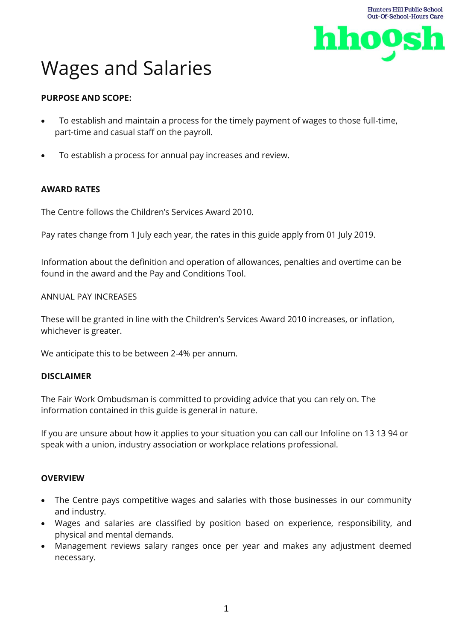

# Wages and Salaries

# **PURPOSE AND SCOPE:**

- To establish and maintain a process for the timely payment of wages to those full-time, part-time and casual staff on the payroll.
- To establish a process for annual pay increases and review.

# **AWARD RATES**

The Centre follows the Children's Services Award 2010.

Pay rates change from 1 July each year, the rates in this guide apply from 01 July 2019.

Information about the definition and operation of allowances, penalties and overtime can be found in the award and the Pay and Conditions Tool.

#### ANNUAL PAY INCREASES

These will be granted in line with the Children's Services Award 2010 increases, or inflation, whichever is greater.

We anticipate this to be between 2-4% per annum.

#### **DISCLAIMER**

The Fair Work Ombudsman is committed to providing advice that you can rely on. The information contained in this guide is general in nature.

If you are unsure about how it applies to your situation you can call our Infoline on 13 13 94 or speak with a union, industry association or workplace relations professional.

#### **OVERVIEW**

- The Centre pays competitive wages and salaries with those businesses in our community and industry.
- Wages and salaries are classified by position based on experience, responsibility, and physical and mental demands.
- Management reviews salary ranges once per year and makes any adjustment deemed necessary.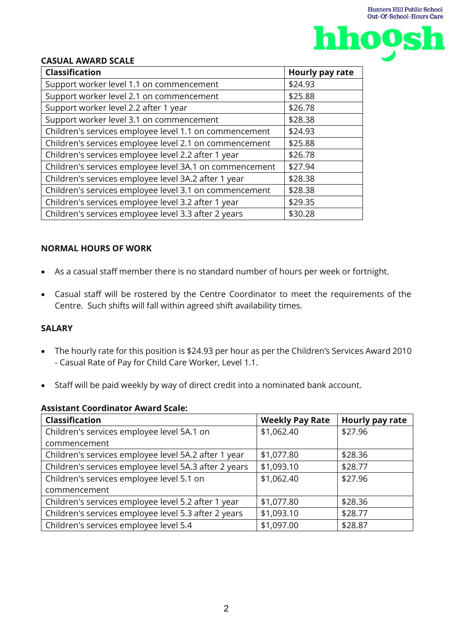

#### **CASUAL AWARD SCALE**

| <b>Classification</b>                                   | Hourly pay rate |
|---------------------------------------------------------|-----------------|
| Support worker level 1.1 on commencement                | \$24.93         |
| Support worker level 2.1 on commencement                | \$25.88         |
| Support worker level 2.2 after 1 year                   | \$26.78         |
| Support worker level 3.1 on commencement                | \$28.38         |
| Children's services employee level 1.1 on commencement  | \$24.93         |
| Children's services employee level 2.1 on commencement  | \$25.88         |
| Children's services employee level 2.2 after 1 year     | \$26.78         |
| Children's services employee level 3A.1 on commencement | \$27.94         |
| Children's services employee level 3A.2 after 1 year    | \$28.38         |
| Children's services employee level 3.1 on commencement  | \$28.38         |
| Children's services employee level 3.2 after 1 year     | \$29.35         |
| Children's services employee level 3.3 after 2 years    | \$30.28         |

#### **NORMAL HOURS OF WORK**

- As a casual staff member there is no standard number of hours per week or fortnight.
- Casual staff will be rostered by the Centre Coordinator to meet the requirements of the Centre. Such shifts will fall within agreed shift availability times.

## **SALARY**

- The hourly rate for this position is \$24.93 per hour as per the Children's Services Award 2010 - Casual Rate of Pay for Child Care Worker, Level 1.1.
- Staff will be paid weekly by way of direct credit into a nominated bank account.

| ASSISTANTE COOLANIQTOL AMAI A SCAIC.                  |                        |                 |  |  |
|-------------------------------------------------------|------------------------|-----------------|--|--|
| <b>Classification</b>                                 | <b>Weekly Pay Rate</b> | Hourly pay rate |  |  |
| Children's services employee level 5A.1 on            | \$1,062.40             | \$27.96         |  |  |
| commencement                                          |                        |                 |  |  |
| Children's services employee level 5A.2 after 1 year  | \$1,077.80             | \$28.36         |  |  |
| Children's services employee level 5A.3 after 2 years | \$1,093.10             | \$28.77         |  |  |
| Children's services employee level 5.1 on             | \$1,062.40             | \$27.96         |  |  |
| commencement                                          |                        |                 |  |  |
| Children's services employee level 5.2 after 1 year   | \$1,077.80             | \$28.36         |  |  |
| Children's services employee level 5.3 after 2 years  | \$1,093.10             | \$28.77         |  |  |
| Children's services employee level 5.4                | \$1,097.00             | \$28.87         |  |  |

#### **Assistant Coordinator Award Scale:**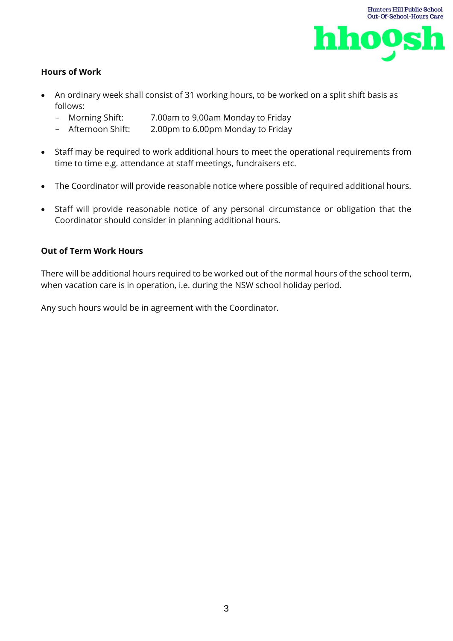

## **Hours of Work**

- An ordinary week shall consist of 31 working hours, to be worked on a split shift basis as follows:
	- Morning Shift: 7.00am to 9.00am Monday to Friday
	- Afternoon Shift: 2.00pm to 6.00pm Monday to Friday
- Staff may be required to work additional hours to meet the operational requirements from time to time e.g. attendance at staff meetings, fundraisers etc.
- The Coordinator will provide reasonable notice where possible of required additional hours.
- Staff will provide reasonable notice of any personal circumstance or obligation that the Coordinator should consider in planning additional hours.

#### **Out of Term Work Hours**

There will be additional hours required to be worked out of the normal hours of the school term, when vacation care is in operation, i.e. during the NSW school holiday period.

Any such hours would be in agreement with the Coordinator.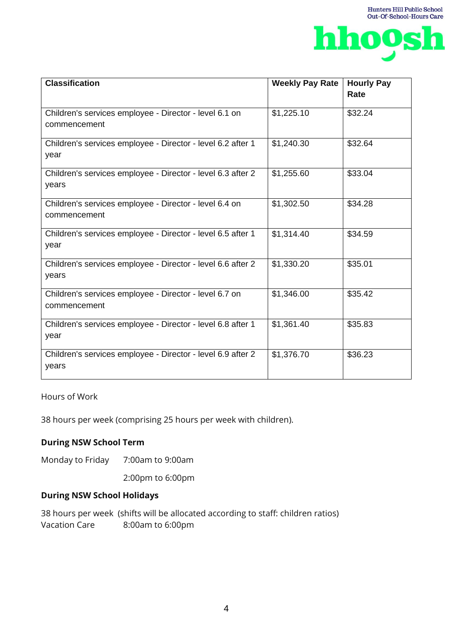

| <b>Classification</b>                                                  | <b>Weekly Pay Rate</b> | <b>Hourly Pay</b><br>Rate |
|------------------------------------------------------------------------|------------------------|---------------------------|
|                                                                        |                        |                           |
| Children's services employee - Director - level 6.1 on<br>commencement | \$1,225.10             | \$32.24                   |
| Children's services employee - Director - level 6.2 after 1<br>year    | \$1,240.30             | \$32.64                   |
| Children's services employee - Director - level 6.3 after 2<br>years   | \$1,255.60             | \$33.04                   |
| Children's services employee - Director - level 6.4 on<br>commencement | \$1,302.50             | \$34.28                   |
| Children's services employee - Director - level 6.5 after 1<br>year    | \$1,314.40             | \$34.59                   |
| Children's services employee - Director - level 6.6 after 2<br>years   | \$1,330.20             | \$35.01                   |
| Children's services employee - Director - level 6.7 on<br>commencement | \$1,346.00             | \$35.42                   |
| Children's services employee - Director - level 6.8 after 1<br>year    | \$1,361.40             | \$35.83                   |
| Children's services employee - Director - level 6.9 after 2<br>years   | \$1,376.70             | \$36.23                   |

# Hours of Work

38 hours per week (comprising 25 hours per week with children).

## **During NSW School Term**

Monday to Friday 7:00am to 9:00am

2:00pm to 6:00pm

## **During NSW School Holidays**

38 hours per week (shifts will be allocated according to staff: children ratios) Vacation Care 8:00am to 6:00pm